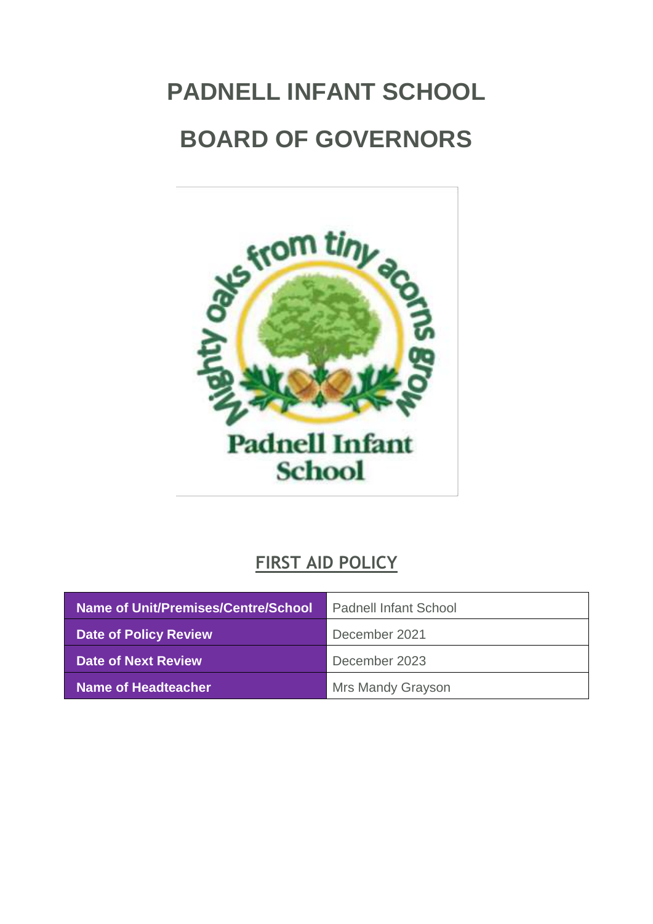# <span id="page-0-0"></span>**PADNELL INFANT SCHOOL BOARD OF GOVERNORS**



# **FIRST AID POLICY**

| Name of Unit/Premises/Centre/School | <b>Padnell Infant School</b> |
|-------------------------------------|------------------------------|
| <b>Date of Policy Review</b>        | December 2021                |
| Date of Next Review                 | December 2023                |
| Name of Headteacher b               | <b>Mrs Mandy Grayson</b>     |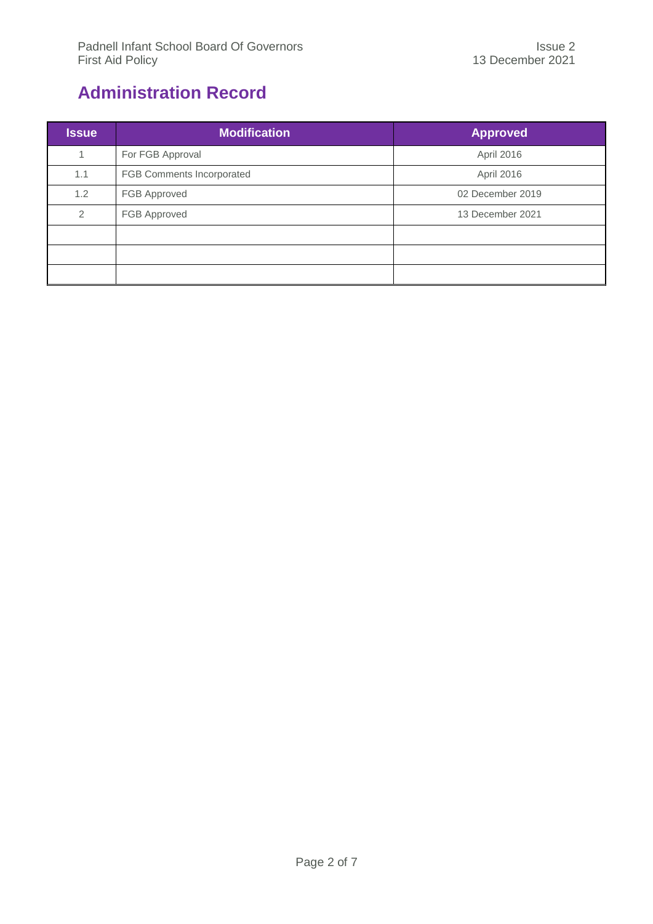# <span id="page-1-0"></span>**Administration Record**

| <b>Issue</b> | <b>Modification</b>       | <b>Approved</b>  |
|--------------|---------------------------|------------------|
| -1           | For FGB Approval          | April 2016       |
| 1.1          | FGB Comments Incorporated | April 2016       |
| 1.2          | FGB Approved              | 02 December 2019 |
| 2            | FGB Approved              | 13 December 2021 |
|              |                           |                  |
|              |                           |                  |
|              |                           |                  |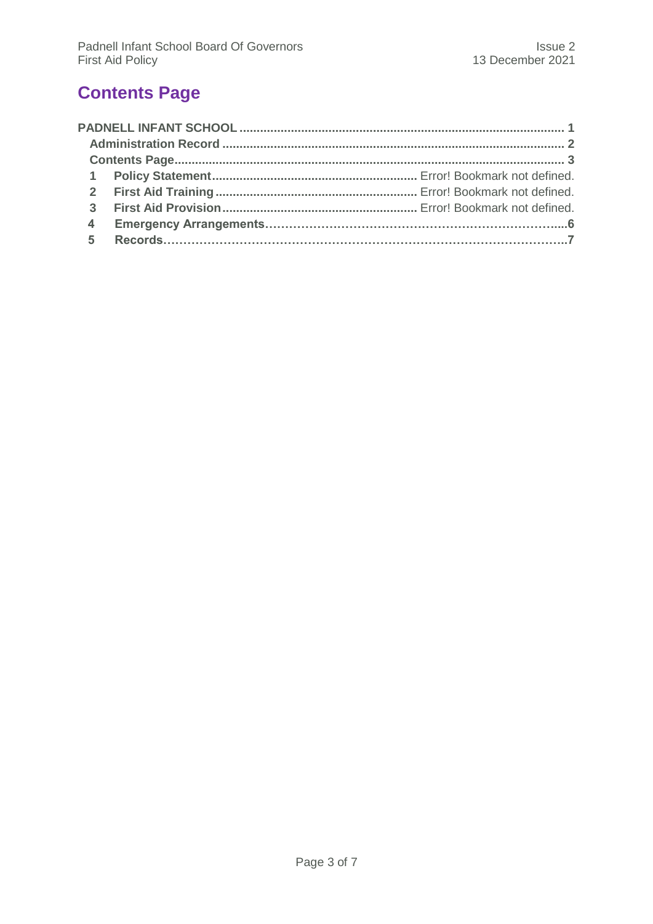# <span id="page-2-0"></span>**Contents Page**

| $\overline{\mathbf{3}}$ |  |
|-------------------------|--|
| $\overline{4}$          |  |
|                         |  |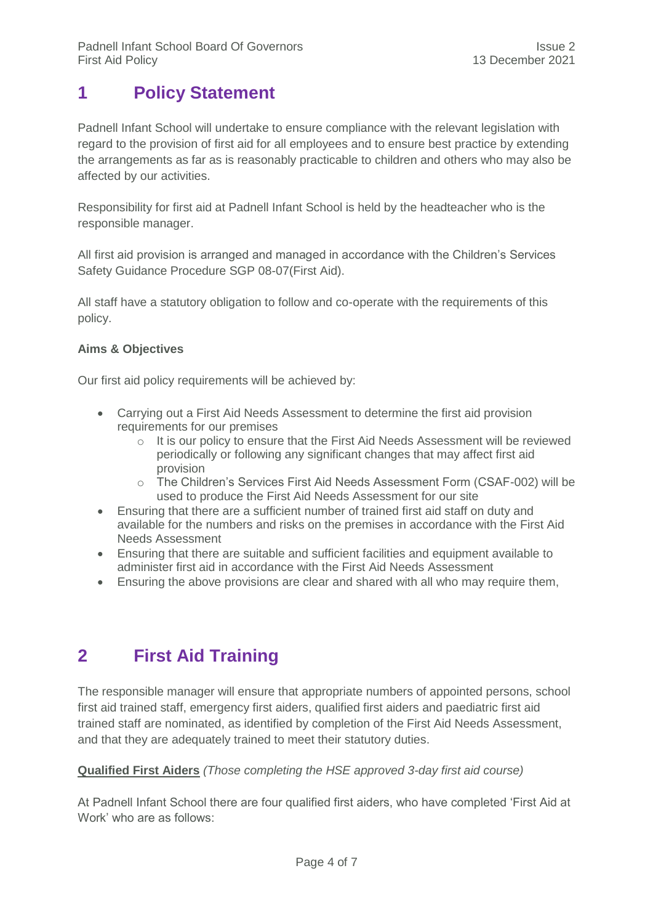## **1 Policy Statement**

Padnell Infant School will undertake to ensure compliance with the relevant legislation with regard to the provision of first aid for all employees and to ensure best practice by extending the arrangements as far as is reasonably practicable to children and others who may also be affected by our activities.

Responsibility for first aid at Padnell Infant School is held by the headteacher who is the responsible manager.

All first aid provision is arranged and managed in accordance with the Children's Services Safety Guidance Procedure SGP 08-07(First Aid).

All staff have a statutory obligation to follow and co-operate with the requirements of this policy.

#### **Aims & Objectives**

Our first aid policy requirements will be achieved by:

- Carrying out a First Aid Needs Assessment to determine the first aid provision requirements for our premises
	- $\circ$  It is our policy to ensure that the First Aid Needs Assessment will be reviewed periodically or following any significant changes that may affect first aid provision
	- o The Children's Services First Aid Needs Assessment Form (CSAF-002) will be used to produce the First Aid Needs Assessment for our site
- Ensuring that there are a sufficient number of trained first aid staff on duty and available for the numbers and risks on the premises in accordance with the First Aid Needs Assessment
- Ensuring that there are suitable and sufficient facilities and equipment available to administer first aid in accordance with the First Aid Needs Assessment
- Ensuring the above provisions are clear and shared with all who may require them,

## **2 First Aid Training**

The responsible manager will ensure that appropriate numbers of appointed persons, school first aid trained staff, emergency first aiders, qualified first aiders and paediatric first aid trained staff are nominated, as identified by completion of the First Aid Needs Assessment, and that they are adequately trained to meet their statutory duties.

#### **Qualified First Aiders** *(Those completing the HSE approved 3-day first aid course)*

At Padnell Infant School there are four qualified first aiders, who have completed 'First Aid at Work' who are as follows: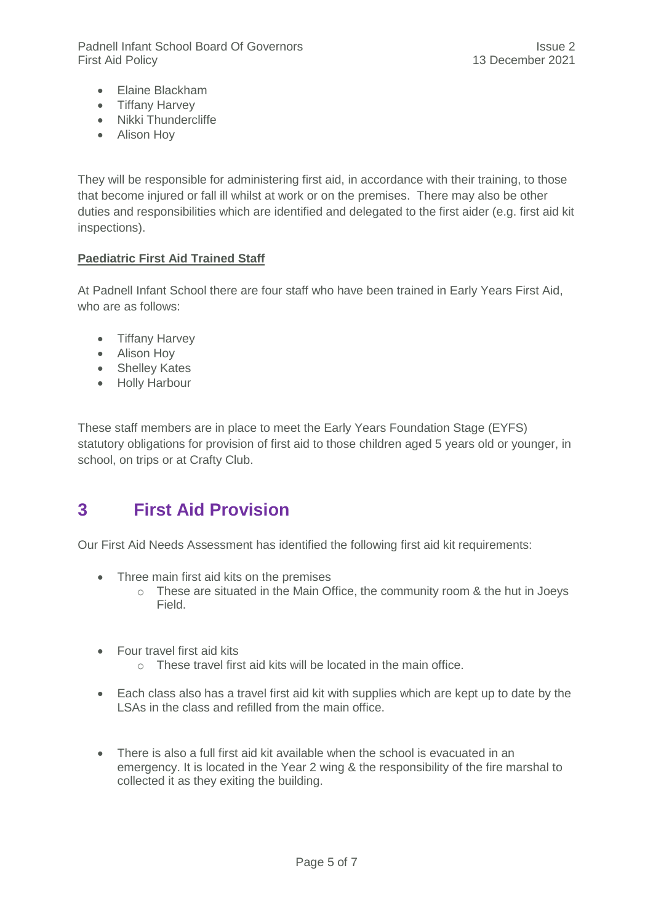Padnell Infant School Board Of Governors **International Community** Issue 2 First Aid Policy 13 December 2021

- Elaine Blackham
- Tiffany Harvey
- Nikki Thundercliffe
- Alison Hoy

They will be responsible for administering first aid, in accordance with their training, to those that become injured or fall ill whilst at work or on the premises. There may also be other duties and responsibilities which are identified and delegated to the first aider (e.g. first aid kit inspections).

#### **Paediatric First Aid Trained Staff**

At Padnell Infant School there are four staff who have been trained in Early Years First Aid, who are as follows:

- Tiffany Harvey
- Alison Hoy
- Shelley Kates
- Holly Harbour

These staff members are in place to meet the Early Years Foundation Stage (EYFS) statutory obligations for provision of first aid to those children aged 5 years old or younger, in school, on trips or at Crafty Club.

## **3 First Aid Provision**

Our First Aid Needs Assessment has identified the following first aid kit requirements:

- Three main first aid kits on the premises
	- o These are situated in the Main Office, the community room & the hut in Joeys Field.
- **•** Four travel first aid kits
	- o These travel first aid kits will be located in the main office.
- Each class also has a travel first aid kit with supplies which are kept up to date by the LSAs in the class and refilled from the main office.
- There is also a full first aid kit available when the school is evacuated in an emergency. It is located in the Year 2 wing & the responsibility of the fire marshal to collected it as they exiting the building.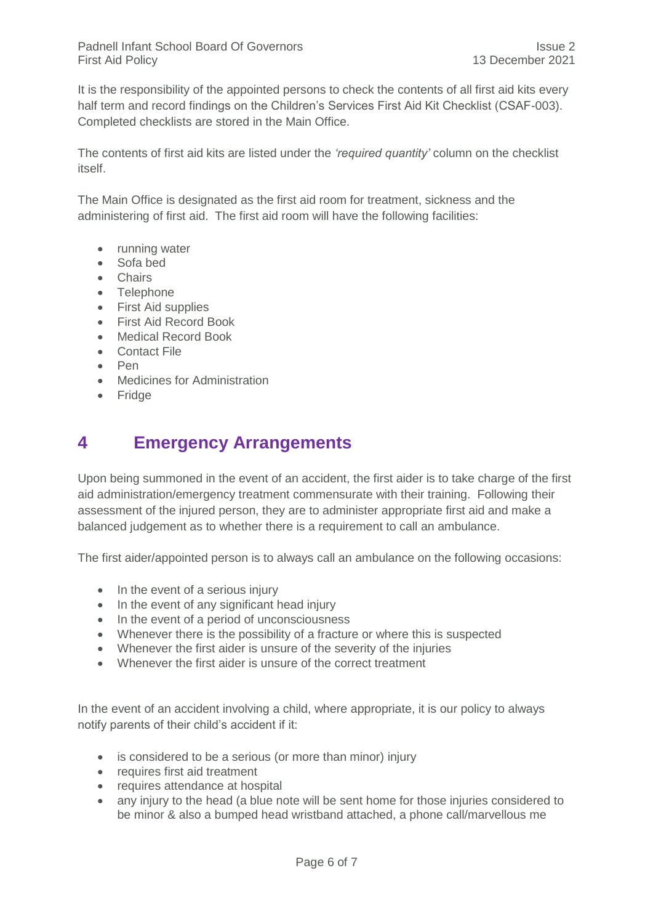It is the responsibility of the appointed persons to check the contents of all first aid kits every half term and record findings on the Children's Services First Aid Kit Checklist (CSAF-003). Completed checklists are stored in the Main Office.

The contents of first aid kits are listed under the *'required quantity'* column on the checklist itself.

The Main Office is designated as the first aid room for treatment, sickness and the administering of first aid. The first aid room will have the following facilities:

- running water
- Sofa bed
- Chairs
- Telephone
- First Aid supplies
- **•** First Aid Record Book
- Medical Record Book
- Contact File
- Pen
- Medicines for Administration
- Fridge

#### **4 Emergency Arrangements**

Upon being summoned in the event of an accident, the first aider is to take charge of the first aid administration/emergency treatment commensurate with their training. Following their assessment of the injured person, they are to administer appropriate first aid and make a balanced judgement as to whether there is a requirement to call an ambulance.

The first aider/appointed person is to always call an ambulance on the following occasions:

- In the event of a serious injury
- In the event of any significant head injury
- In the event of a period of unconsciousness
- Whenever there is the possibility of a fracture or where this is suspected
- Whenever the first aider is unsure of the severity of the injuries
- Whenever the first aider is unsure of the correct treatment

In the event of an accident involving a child, where appropriate, it is our policy to always notify parents of their child's accident if it:

- is considered to be a serious (or more than minor) injury
- requires first aid treatment
- requires attendance at hospital
- any injury to the head (a blue note will be sent home for those injuries considered to be minor & also a bumped head wristband attached, a phone call/marvellous me